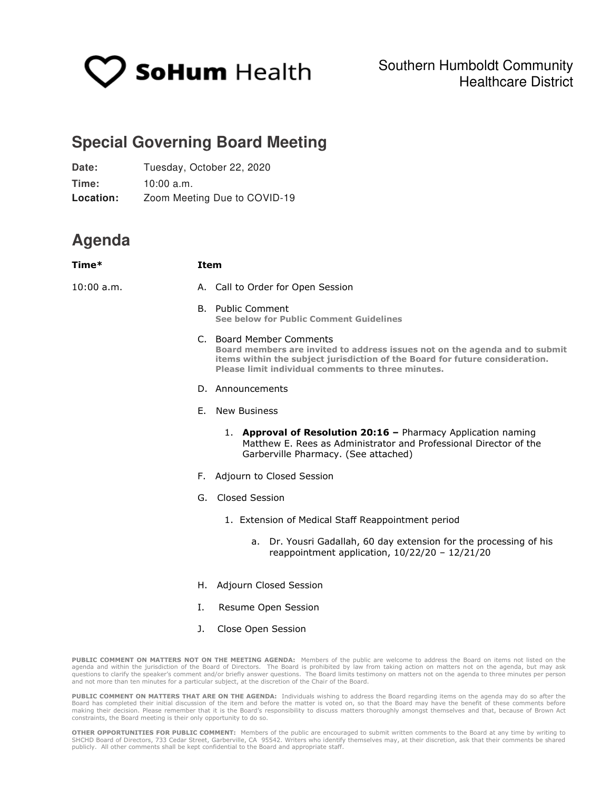

## **Special Governing Board Meeting**

| Date:     | Tuesday, October 22, 2020    |
|-----------|------------------------------|
| Time:     | 10:00 a.m.                   |
| Location: | Zoom Meeting Due to COVID-19 |

## **Agenda**

| Time*        | <b>Item</b>                                                                                                                                                                                                                                   |
|--------------|-----------------------------------------------------------------------------------------------------------------------------------------------------------------------------------------------------------------------------------------------|
| $10:00$ a.m. | A. Call to Order for Open Session                                                                                                                                                                                                             |
|              | <b>B.</b> Public Comment<br>See below for Public Comment Guidelines                                                                                                                                                                           |
|              | C. Board Member Comments<br>Board members are invited to address issues not on the agenda and to submit<br>items within the subject jurisdiction of the Board for future consideration.<br>Please limit individual comments to three minutes. |
|              | D. Announcements                                                                                                                                                                                                                              |
| Ι.           | <b>New Business</b><br>F.,                                                                                                                                                                                                                    |
|              | 1. Approval of Resolution 20:16 - Pharmacy Application naming<br>Matthew E. Rees as Administrator and Professional Director of the<br>Garberville Pharmacy. (See attached)                                                                    |
|              | F. Adjourn to Closed Session                                                                                                                                                                                                                  |
|              | G. Closed Session                                                                                                                                                                                                                             |
|              | 1. Extension of Medical Staff Reappointment period                                                                                                                                                                                            |
|              | a. Dr. Yousri Gadallah, 60 day extension for the processing of his<br>reappointment application, 10/22/20 - 12/21/20                                                                                                                          |
|              | H. Adjourn Closed Session                                                                                                                                                                                                                     |
|              | Resume Open Session                                                                                                                                                                                                                           |
|              | J.<br>Close Open Session                                                                                                                                                                                                                      |

**PUBLIC COMMENT ON MATTERS NOT ON THE MEETING AGENDA:** Members of the public are welcome to address the Board on items not listed on the agenda and within the jurisdiction of the Board of Directors. The Board is prohibited by law from taking action on matters not on the agenda, but may ask<br>questions to clarify the speaker's comment and/or briefly answer que and not more than ten minutes for a particular subject, at the discretion of the Chair of the Board.

**PUBLIC COMMENT ON MATTERS THAT ARE ON THE AGENDA:** Individuals wishing to address the Board regarding items on the agenda may do so after the<br>Board has completed their initial discussion of the item and before the matter making their decision. Please remember that it is the Board's responsibility to discuss matters thoroughly amongst themselves and that, because of Brown Act constraints, the Board meeting is their only opportunity to do so.

**OTHER OPPORTUNITIES FOR PUBLIC COMMENT:** Members of the public are encouraged to submit written comments to the Board at any time by writing to SHCHD Board of Directors, 733 Cedar Street, Garberville, CA 95542. Writers who identify themselves may, at their discretion, ask that their comments be shared publicly. All other comments shall be kept confidential to the Board and appropriate staff.